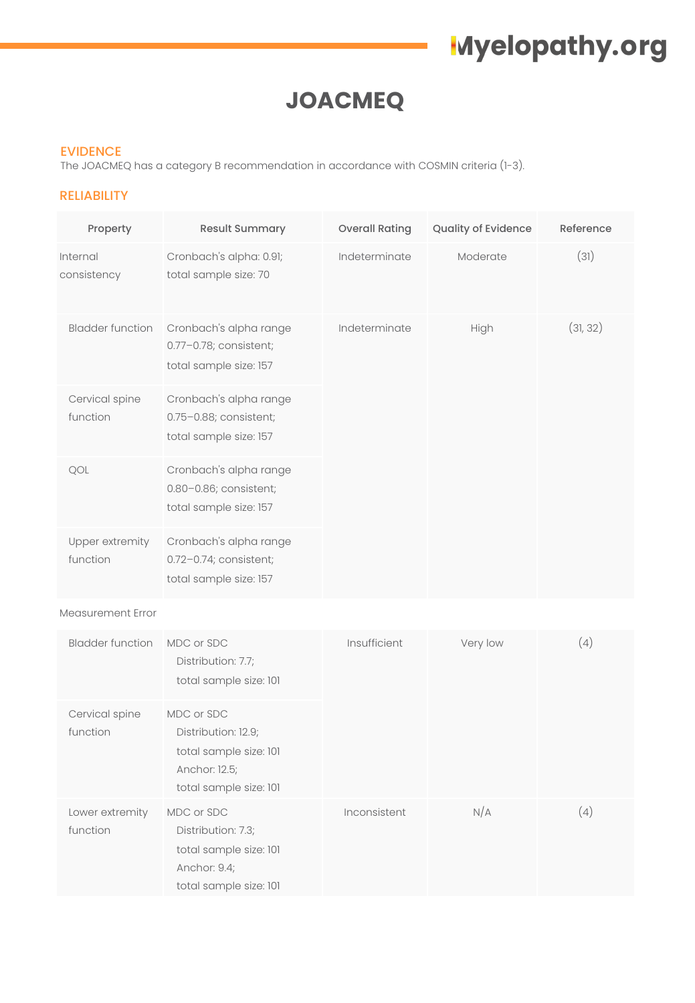### **JOACMEQ**

#### EVIDENCE

The JOACMEQ has a category B recommendation in accordance with COSMIN criteria (1-3).

#### RELIABILITY

| Property                    | <b>Result Summary</b>                                                      | <b>Overall Rating</b> | Quality of Evidence | Reference |
|-----------------------------|----------------------------------------------------------------------------|-----------------------|---------------------|-----------|
| Internal<br>consistency     | Cronbach's alpha: 0.91;<br>total sample size: 70                           | Indeterminate         | Moderate            | (31)      |
| <b>Bladder function</b>     | Cronbach's alpha range<br>0.77-0.78; consistent;<br>total sample size: 157 | Indeterminate         | High                | (31, 32)  |
| Cervical spine<br>function  | Cronbach's alpha range<br>0.75-0.88; consistent;<br>total sample size: 157 |                       |                     |           |
| QOL                         | Cronbach's alpha range<br>0.80-0.86; consistent;<br>total sample size: 157 |                       |                     |           |
| Upper extremity<br>function | Cronbach's alpha range<br>0.72-0.74; consistent;<br>total sample size: 157 |                       |                     |           |
|                             |                                                                            |                       |                     |           |

#### Measurement Error

| <b>Bladder function</b>     | MDC or SDC<br>Distribution: 7.7;<br>total sample size: 101                                             | Insufficient | Very low | (4) |
|-----------------------------|--------------------------------------------------------------------------------------------------------|--------------|----------|-----|
| Cervical spine<br>function  | MDC or SDC<br>Distribution: 12.9;<br>total sample size: 101<br>Anchor: 12.5;<br>total sample size: 101 |              |          |     |
| Lower extremity<br>function | MDC or SDC<br>Distribution: 7.3;<br>total sample size: 101<br>Anchor: 9.4;<br>total sample size: 101   | Inconsistent | N/A      | (4) |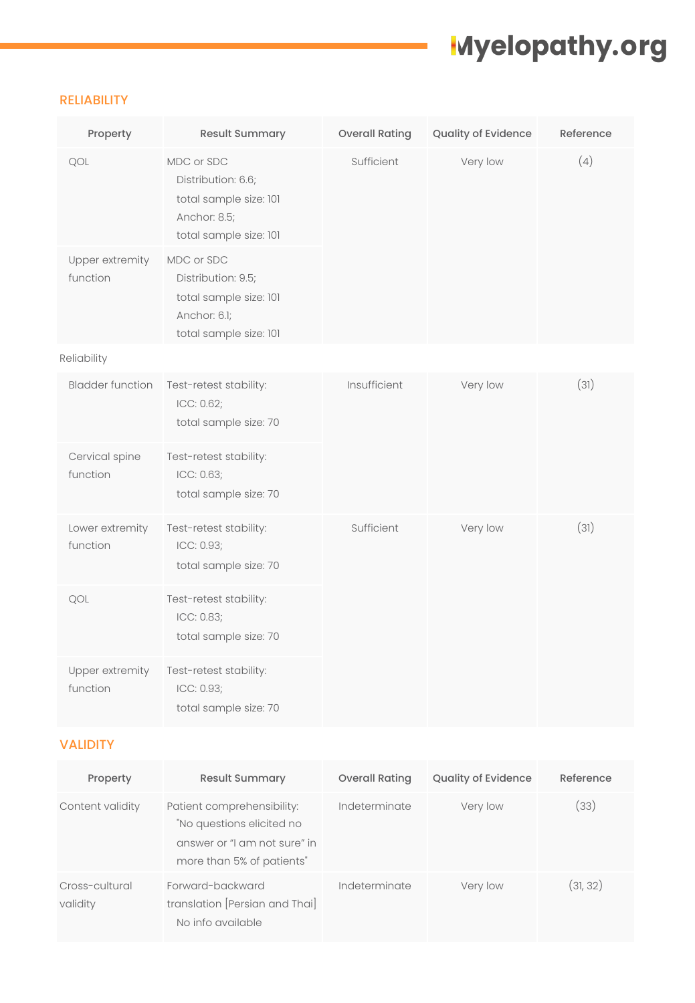#### RELIABILITY

| Property                    | Result Summary                                                                                       | <b>Overall Rating</b> | Quality of Evidence | Reference |
|-----------------------------|------------------------------------------------------------------------------------------------------|-----------------------|---------------------|-----------|
| QOL                         | MDC or SDC<br>Distribution: 6.6;<br>total sample size: 101<br>Anchor: 8.5;<br>total sample size: 101 | Sufficient            | Very low            | (4)       |
| Upper extremity<br>function | MDC or SDC<br>Distribution: 9.5;<br>total sample size: 101<br>Anchor: 6.1;<br>total sample size: 101 |                       |                     |           |
| Reliability                 |                                                                                                      |                       |                     |           |
| <b>Bladder function</b>     | Test-retest stability:<br>ICC: 0.62;<br>total sample size: 70                                        | Insufficient          | Very low            | (31)      |
| Cervical spine<br>function  | Test-retest stability:<br>ICC: 0.63;<br>total sample size: 70                                        |                       |                     |           |
| Lower extremity<br>function | Test-retest stability:<br>ICC: 0.93;<br>total sample size: 70                                        | Sufficient            | Very low            | (31)      |
| QOL                         | Test-retest stability:<br>ICC: 0.83;<br>total sample size: 70                                        |                       |                     |           |
| Upper extremity<br>function | Test-retest stability:<br>ICC: 0.93;<br>total sample size: 70                                        |                       |                     |           |

### VALIDITY

| Property                   | <b>Result Summary</b>                                                                                                | <b>Overall Rating</b> | <b>Quality of Evidence</b> | Reference |
|----------------------------|----------------------------------------------------------------------------------------------------------------------|-----------------------|----------------------------|-----------|
| Content validity           | Patient comprehensibility:<br>"No questions elicited no<br>answer or "I am not sure" in<br>more than 5% of patients" | Indeterminate         | Very low                   | (33)      |
| Cross-cultural<br>validity | Forward-backward<br>translation [Persian and Thai]<br>No info available                                              | Indeterminate         | Very low                   | (31, 32)  |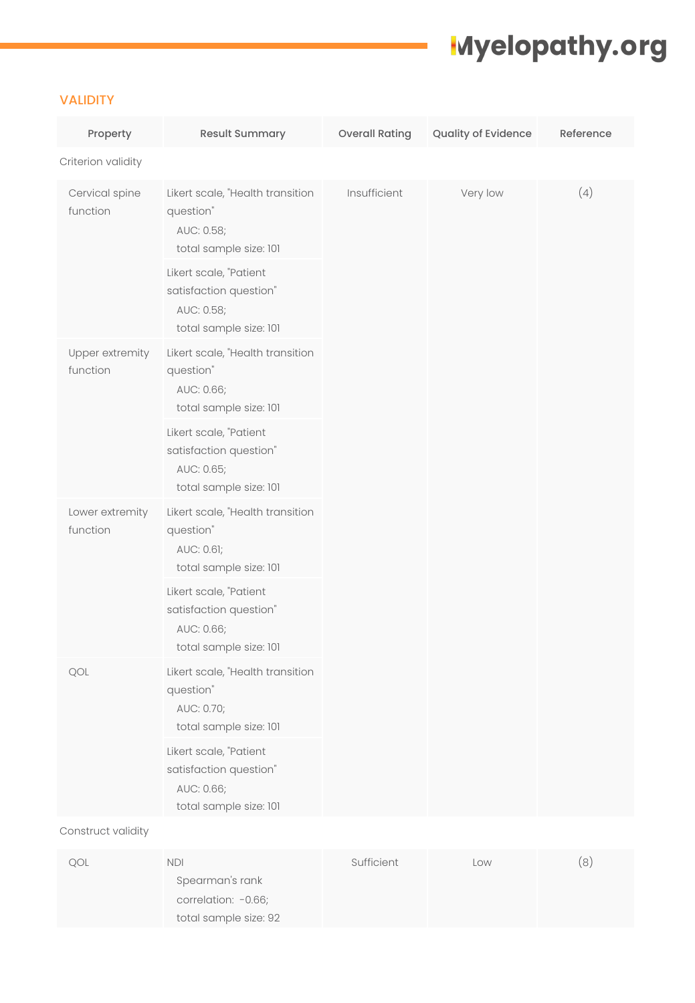### VALIDITY

| Property                    | Result Summary                                                                           |              | Quality of Evidence | Reference |
|-----------------------------|------------------------------------------------------------------------------------------|--------------|---------------------|-----------|
| Criterion validity          |                                                                                          |              |                     |           |
| Cervical spine<br>function  | Likert scale, "Health transition<br>question"<br>AUC: 0.58;<br>total sample size: 101    | Insufficient | Very low            | (4)       |
|                             | Likert scale, "Patient<br>satisfaction question"<br>AUC: 0.58;<br>total sample size: 101 |              |                     |           |
| Upper extremity<br>function | Likert scale, "Health transition<br>question"<br>AUC: 0.66;<br>total sample size: 101    |              |                     |           |
|                             | Likert scale, "Patient<br>satisfaction question"<br>AUC: 0.65;<br>total sample size: 101 |              |                     |           |
| Lower extremity<br>function | Likert scale, "Health transition<br>question"<br>AUC: 0.61;<br>total sample size: 101    |              |                     |           |
|                             | Likert scale, "Patient<br>satisfaction question"<br>AUC: 0.66;<br>total sample size: 101 |              |                     |           |
| QOL                         | Likert scale, "Health transition<br>question"<br>AUC: 0.70;<br>total sample size: 101    |              |                     |           |
|                             | Likert scale, "Patient<br>satisfaction question"<br>AUC: 0.66;<br>total sample size: 101 |              |                     |           |

Construct validity

| QOL | NDI                   | Sufficient | Low | 8) |
|-----|-----------------------|------------|-----|----|
|     | Spearman's rank       |            |     |    |
|     | correlation: -0.66;   |            |     |    |
|     | total sample size: 92 |            |     |    |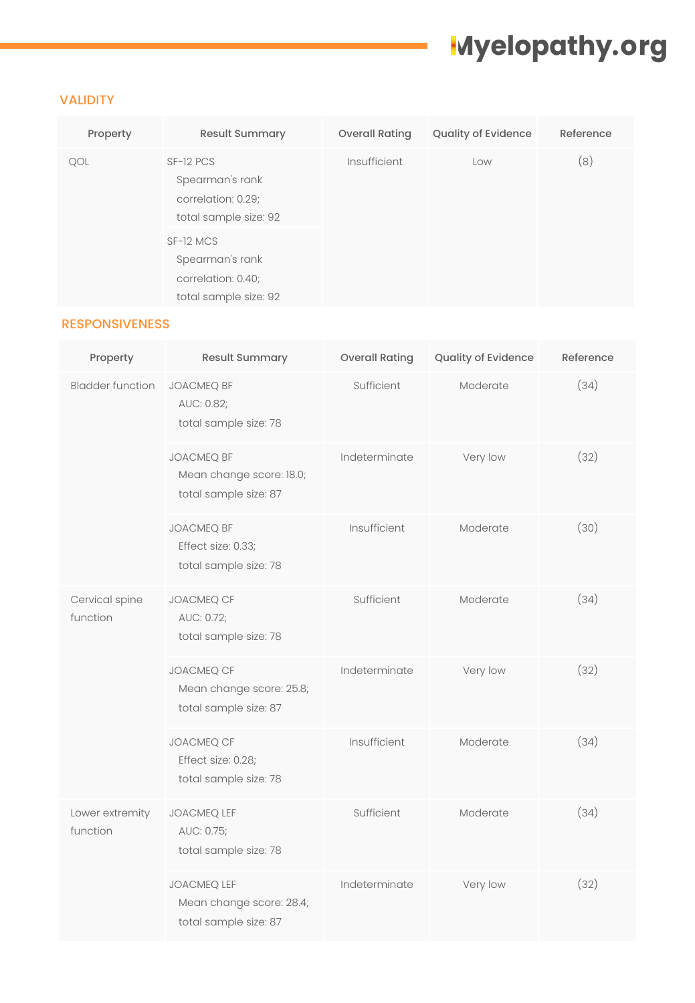### VALIDITY

| Property | <b>Result Summary</b>                                                       | <b>Overall Rating</b> | Quality of Evidence | Reference |
|----------|-----------------------------------------------------------------------------|-----------------------|---------------------|-----------|
| QOL      | SF-12 PCS<br>Spearman's rank<br>correlation: 0.29;<br>total sample size: 92 | Insufficient          | Low                 | (8)       |
|          | SF-12 MCS<br>Spearman's rank<br>correlation: 0.40;<br>total sample size: 92 |                       |                     |           |

### RESPONSIVENESS

| Property                    | <b>Result Summary</b>                                                   | <b>Overall Rating</b> | Quality of Evidence | Reference |
|-----------------------------|-------------------------------------------------------------------------|-----------------------|---------------------|-----------|
| <b>Bladder function</b>     | <b>JOACMEQ BF</b><br>AUC: 0.82;<br>total sample size: 78                | Sufficient            | Moderate            | (34)      |
|                             | <b>JOACMEQ BF</b><br>Mean change score: 18.0;<br>total sample size: 87  | Indeterminate         | Very low            | (32)      |
|                             | <b>JOACMEQ BF</b><br>Effect size: 0.33;<br>total sample size: 78        | Insufficient          | Moderate            | (30)      |
| Cervical spine<br>function  | JOACMEQ CF<br>AUC: 0.72;<br>total sample size: 78                       | Sufficient            | Moderate            | (34)      |
|                             | <b>JOACMEQ CF</b><br>Mean change score: 25.8;<br>total sample size: 87  | Indeterminate         | Very low            | (32)      |
|                             | JOACMEQ CF<br>Effect size: 0.28;<br>total sample size: 78               | Insufficient          | Moderate            | (34)      |
| Lower extremity<br>function | JOACMEQ LEF<br>AUC: 0.75;<br>total sample size: 78                      | Sufficient            | Moderate            | (34)      |
|                             | <b>JOACMEQ LEF</b><br>Mean change score: 28.4;<br>total sample size: 87 | Indeterminate         | Very low            | (32)      |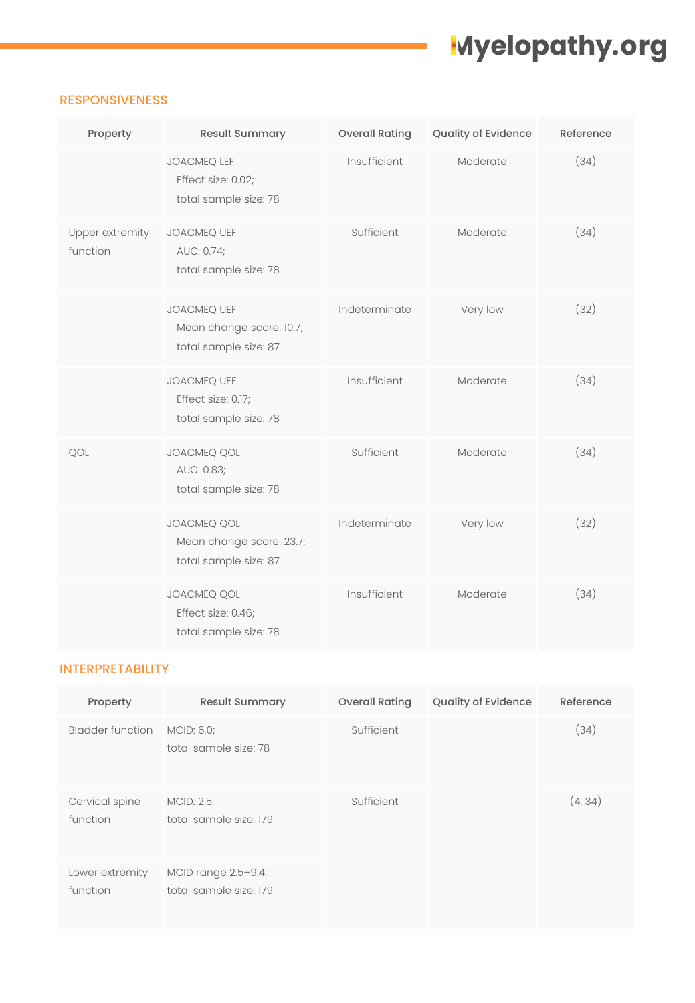### RESPONSIVENESS

| Property                    | <b>Result Summary</b>                                                   | <b>Overall Rating</b> | Quality of Evidence | Reference |
|-----------------------------|-------------------------------------------------------------------------|-----------------------|---------------------|-----------|
|                             | <b>JOACMEQ LEF</b><br>Effect size: 0.02;<br>total sample size: 78       | Insufficient          | Moderate            | (34)      |
| Upper extremity<br>function | JOACMEQ UEF<br>AUC: 0.74;<br>total sample size: 78                      | Sufficient            | Moderate            | (34)      |
|                             | <b>JOACMEQ UEF</b><br>Mean change score: 10.7;<br>total sample size: 87 | Indeterminate         | Very low            | (32)      |
|                             | JOACMEQ UEF<br>Effect size: 0.17;<br>total sample size: 78              | Insufficient          | Moderate            | (34)      |
| QOL                         | <b>JOACMEQ QOL</b><br>AUC: 0.83;<br>total sample size: 78               | Sufficient            | Moderate            | (34)      |
|                             | JOACMEQ QOL<br>Mean change score: 23.7;<br>total sample size: 87        | Indeterminate         | Very low            | (32)      |
|                             | JOACMEQ QOL<br>Effect size: 0.46;<br>total sample size: 78              | Insufficient          | Moderate            | (34)      |

### INTERPRETABILITY

| Property                    | <b>Result Summary</b>                         | <b>Overall Rating</b> | <b>Quality of Evidence</b> | Reference |
|-----------------------------|-----------------------------------------------|-----------------------|----------------------------|-----------|
| <b>Bladder function</b>     | MCID: 6.0;<br>total sample size: 78           | Sufficient            |                            | (34)      |
| Cervical spine<br>function  | MCID: 2.5;<br>total sample size: 179          | Sufficient            |                            | (4, 34)   |
| Lower extremity<br>function | MCID range 2.5-9.4;<br>total sample size: 179 |                       |                            |           |